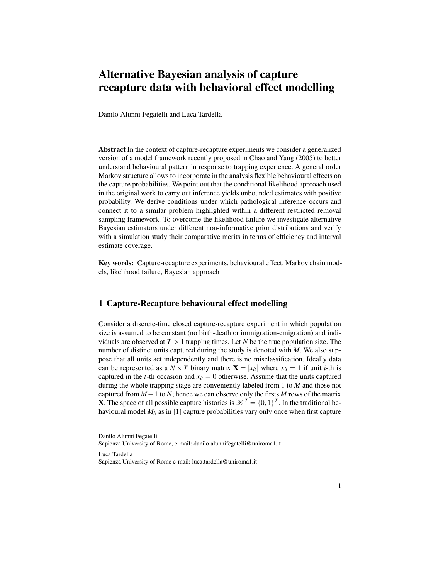## Alternative Bayesian analysis of capture recapture data with behavioral effect modelling

Danilo Alunni Fegatelli and Luca Tardella

Abstract In the context of capture-recapture experiments we consider a generalized version of a model framework recently proposed in Chao and Yang (2005) to better understand behavioural pattern in response to trapping experience. A general order Markov structure allows to incorporate in the analysis flexible behavioural effects on the capture probabilities. We point out that the conditional likelihood approach used in the original work to carry out inference yields unbounded estimates with positive probability. We derive conditions under which pathological inference occurs and connect it to a similar problem highlighted within a different restricted removal sampling framework. To overcome the likelihood failure we investigate alternative Bayesian estimators under different non-informative prior distributions and verify with a simulation study their comparative merits in terms of efficiency and interval estimate coverage.

Key words: Capture-recapture experiments, behavioural effect, Markov chain models, likelihood failure, Bayesian approach

## 1 Capture-Recapture behavioural effect modelling

Consider a discrete-time closed capture-recapture experiment in which population size is assumed to be constant (no birth-death or immigration-emigration) and individuals are observed at  $T > 1$  trapping times. Let *N* be the true population size. The number of distinct units captured during the study is denoted with *M*. We also suppose that all units act independently and there is no misclassification. Ideally data can be represented as a  $N \times T$  binary matrix  $\mathbf{X} = [x_{it}]$  where  $x_{it} = 1$  if unit *i*-th is captured in the *t*-th occasion and  $x_{it} = 0$  otherwise. Assume that the units captured during the whole trapping stage are conveniently labeled from 1 to *M* and those not captured from  $M + 1$  to *N*; hence we can observe only the firsts *M* rows of the matrix **X**. The space of all possible capture histories is  $\mathcal{X}^T = \{0,1\}^T$ . In the traditional behavioural model  $M_b$  as in [1] capture probabilities vary only once when first capture

Danilo Alunni Fegatelli

Sapienza University of Rome, e-mail: danilo.alunnifegatelli@uniroma1.it

Luca Tardella Sapienza University of Rome e-mail: luca.tardella@uniroma1.it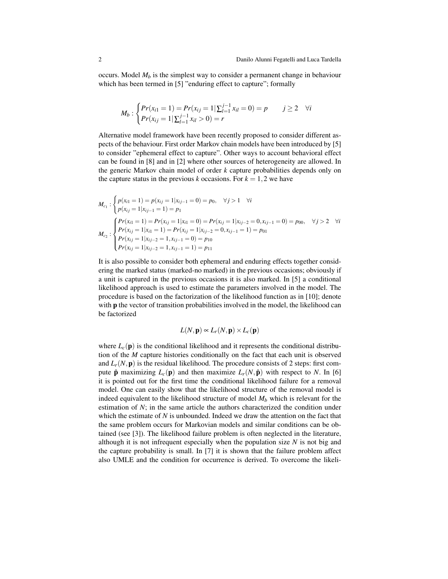occurs. Model  $M_h$  is the simplest way to consider a permanent change in behaviour which has been termed in [5] "enduring effect to capture"; formally

$$
M_b: \begin{cases} Pr(x_{i1} = 1) = Pr(x_{ij} = 1 | \sum_{l=1}^{j-1} x_{il} = 0) = p & j \ge 2 \quad \forall i \\ Pr(x_{ij} = 1 | \sum_{l=1}^{j-1} x_{il} > 0) = r & j \ge 2 \end{cases}
$$

Alternative model framework have been recently proposed to consider different aspects of the behaviour. First order Markov chain models have been introduced by [5] to consider "ephemeral effect to capture". Other ways to account behavioral effect can be found in [8] and in [2] where other sources of heterogeneity are allowed. In the generic Markov chain model of order *k* capture probabilities depends only on the capture status in the previous *k* occasions. For  $k = 1, 2$  we have

$$
M_{c_1}: \begin{cases} p(x_{i1} = 1) = p(x_{ij} = 1 | x_{ij-1} = 0) = p_0, & \forall j > 1 \quad \forall i \\ p(x_{ij} = 1 | x_{ij-1} = 1) = p_1 \end{cases}
$$
  

$$
M_{c_2}: \begin{cases} Pr(x_{i1} = 1) = Pr(x_{ij} = 1 | x_{i1} = 0) = Pr(x_{ij} = 1 | x_{i j-2} = 0, x_{i j-1} = 0) = p_{00}, & \forall j > 2 \quad \forall i \\ Pr(x_{ij} = 1 | x_{i1} = 1) = Pr(x_{ij} = 1 | x_{i j-2} = 0, x_{i j-1} = 1) = p_{01} \end{cases}
$$
  

$$
P_{c_2}: \begin{cases} Pr(x_{i1} = 1 | x_{i1-2} = 1, x_{i j-1} = 0) = p_{10} \\ Pr(x_{i1} = 1 | x_{i j-2} = 1, x_{i j-1} = 1) = p_{11} \end{cases}
$$

It is also possible to consider both ephemeral and enduring effects together considering the marked status (marked-no marked) in the previous occasions; obviously if a unit is captured in the previous occasions it is also marked. In [5] a conditional likelihood approach is used to estimate the parameters involved in the model. The procedure is based on the factorization of the likelihood function as in [10]; denote with **p** the vector of transition probabilities involved in the model, the likelihood can be factorized

$$
L(N, \mathbf{p}) \propto L_r(N, \mathbf{p}) \times L_c(\mathbf{p})
$$

where  $L_c(\mathbf{p})$  is the conditional likelihood and it represents the conditional distribution of the *M* capture histories conditionally on the fact that each unit is observed and  $L_r(N, \mathbf{p})$  is the residual likelihood. The procedure consists of 2 steps: first compute  $\hat{\mathbf{p}}$  maximizing  $L_c(\mathbf{p})$  and then maximize  $L_r(N, \hat{\mathbf{p}})$  with respect to N. In [6] it is pointed out for the first time the conditional likelihood failure for a removal model. One can easily show that the likelihood structure of the removal model is indeed equivalent to the likelihood structure of model  $M_b$  which is relevant for the estimation of *N*; in the same article the authors characterized the condition under which the estimate of *N* is unbounded. Indeed we draw the attention on the fact that the same problem occurs for Markovian models and similar conditions can be obtained (see [3]). The likelihood failure problem is often neglected in the literature, although it is not infrequent especially when the population size *N* is not big and the capture probability is small. In [7] it is shown that the failure problem affect also UMLE and the condition for occurrence is derived. To overcome the likeli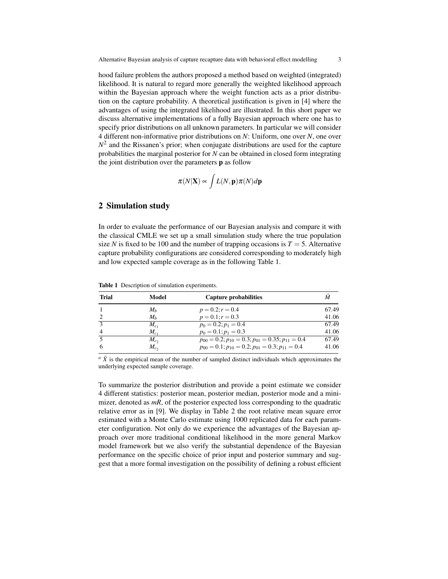hood failure problem the authors proposed a method based on weighted (integrated) likelihood. It is natural to regard more generally the weighted likelihood approach within the Bayesian approach where the weight function acts as a prior distribution on the capture probability. A theoretical justification is given in [4] where the advantages of using the integrated likelihood are illustrated. In this short paper we discuss alternative implementations of a fully Bayesian approach where one has to specify prior distributions on all unknown parameters. In particular we will consider 4 different non-informative prior distributions on *N*: Uniform, one over *N*, one over  $N<sup>2</sup>$  and the Rissanen's prior; when conjugate distributions are used for the capture probabilities the marginal posterior for *N* can be obtained in closed form integrating the joint distribution over the parameters p as follow

$$
\pi(N|\mathbf{X}) \propto \int L(N, \mathbf{p}) \pi(N) d\mathbf{p}
$$

## 2 Simulation study

In order to evaluate the performance of our Bayesian analysis and compare it with the classical CMLE we set up a small simulation study where the true population size *N* is fixed to be 100 and the number of trapping occasions is  $T = 5$ . Alternative capture probability configurations are considered corresponding to moderately high and low expected sample coverage as in the following Table 1.

| <b>Trial</b> | Model     | Capture probabilities                                             |       |  |
|--------------|-----------|-------------------------------------------------------------------|-------|--|
|              | $M_h$     | $p = 0.2; r = 0.4$                                                | 67.49 |  |
|              | $M_h$     | $p = 0.1; r = 0.3$                                                | 41.06 |  |
| $\mathbf{a}$ | $M_{c}$   | $p_0 = 0.2; p_1 = 0.4$                                            | 67.49 |  |
| 4            | $M_{c_1}$ | $p_0 = 0.1$ ; $p_1 = 0.3$                                         | 41.06 |  |
|              | $M_c$     | $p_{00} = 0.2; p_{10} = 0.3; p_{01} = 0.35; p_{11} = 0.4$         | 67.49 |  |
| 6            | $M_c$     | $p_{00} = 0.1$ ; $p_{10} = 0.2$ ; $p_{01} = 0.3$ ; $p_{11} = 0.4$ | 41.06 |  |

Table 1 Description of simulation experiments.

 $a \bar{X}$  is the empirical mean of the number of sampled distinct individuals which approximates the underlying expected sample coverage.

To summarize the posterior distribution and provide a point estimate we consider 4 different statistics: posterior mean, posterior median, posterior mode and a minimizer, denoted as  $mR$ , of the posterior expected loss corresponding to the quadratic relative error as in [9]. We display in Table 2 the root relative mean square error estimated with a Monte Carlo estimate using 1000 replicated data for each parameter configuration. Not only do we experience the advantages of the Bayesian approach over more traditional conditional likelihood in the more general Markov model framework but we also verify the substantial dependence of the Bayesian performance on the specific choice of prior input and posterior summary and suggest that a more formal investigation on the possibility of defining a robust efficient